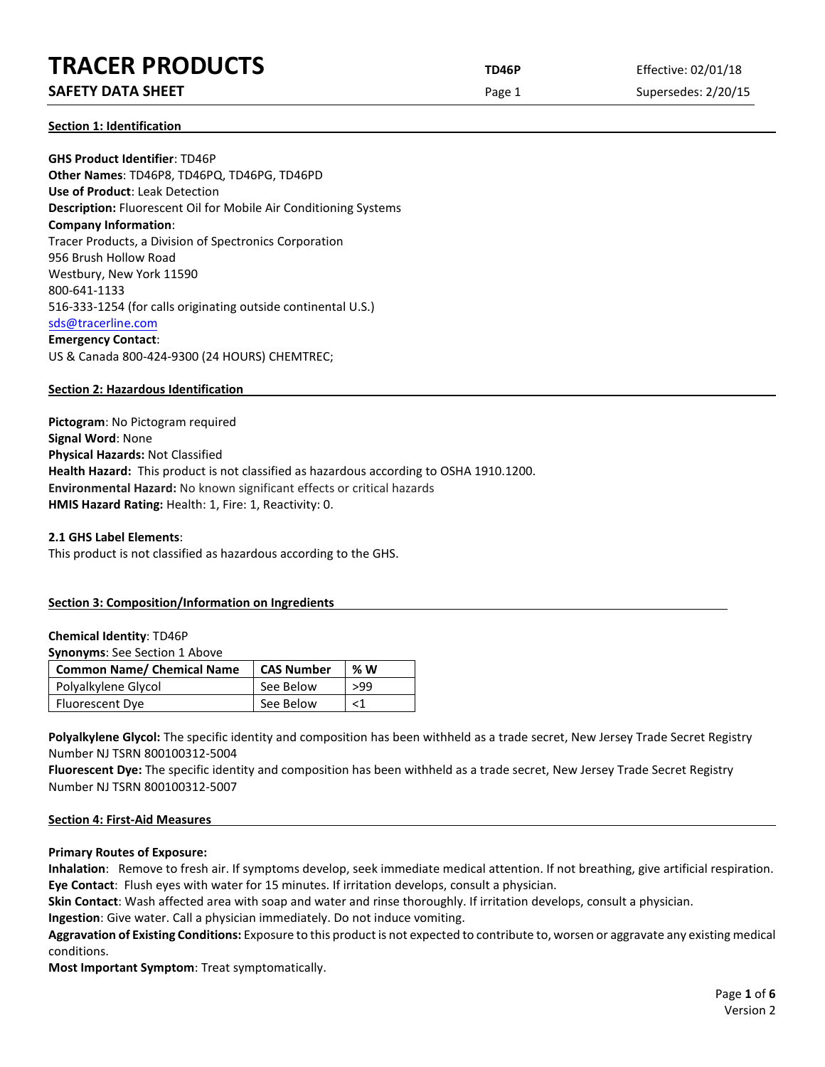# **TRACER PRODUCTS TD46P** Effective: 02/01/18

# **SAFETY DATA SHEET Page 1** Supersedes: 2/20/15

**Section 1: Identification**

**GHS Product Identifier**: TD46P **Other Names**: TD46P8, TD46PQ, TD46PG, TD46PD **Use of Product**: Leak Detection **Description:** Fluorescent Oil for Mobile Air Conditioning Systems **Company Information**: Tracer Products, a Division of Spectronics Corporation 956 Brush Hollow Road Westbury, New York 11590 800-641-1133 516-333-1254 (for calls originating outside continental U.S.) [sds@tracerline.com](mailto:sds@tracerline.com) **Emergency Contact**: US & Canada 800-424-9300 (24 HOURS) CHEMTREC;

# **Section 2: Hazardous Identification**

**Pictogram**: No Pictogram required **Signal Word**: None **Physical Hazards:** Not Classified **Health Hazard:** This product is not classified as hazardous according to OSHA 1910.1200. **Environmental Hazard:** No known significant effects or critical hazards **HMIS Hazard Rating:** Health: 1, Fire: 1, Reactivity: 0.

#### **2.1 GHS Label Elements**:

This product is not classified as hazardous according to the GHS.

# **Section 3: Composition/Information on Ingredients**

#### **Chemical Identity**: TD46P

**Synonyms**: See Section 1 Above

| <b>Common Name/ Chemical Name</b> | <b>CAS Number</b> | % W |
|-----------------------------------|-------------------|-----|
| Polyalkylene Glycol               | See Below         | >99 |
| Fluorescent Dye                   | See Below         |     |

Polyalkylene Glycol: The specific identity and composition has been withheld as a trade secret, New Jersey Trade Secret Registry Number NJ TSRN 800100312-5004

**Fluorescent Dye:** The specific identity and composition has been withheld as a trade secret, New Jersey Trade Secret Registry Number NJ TSRN 800100312-5007

#### **Section 4: First-Aid Measures**

#### **Primary Routes of Exposure:**

**Inhalation**: Remove to fresh air. If symptoms develop, seek immediate medical attention. If not breathing, give artificial respiration. **Eye Contact**: Flush eyes with water for 15 minutes. If irritation develops, consult a physician.

**Skin Contact**: Wash affected area with soap and water and rinse thoroughly. If irritation develops, consult a physician.

**Ingestion**: Give water. Call a physician immediately. Do not induce vomiting.

**Aggravation of Existing Conditions:** Exposure to this product is not expected to contribute to, worsen or aggravate any existing medical conditions.

**Most Important Symptom**: Treat symptomatically.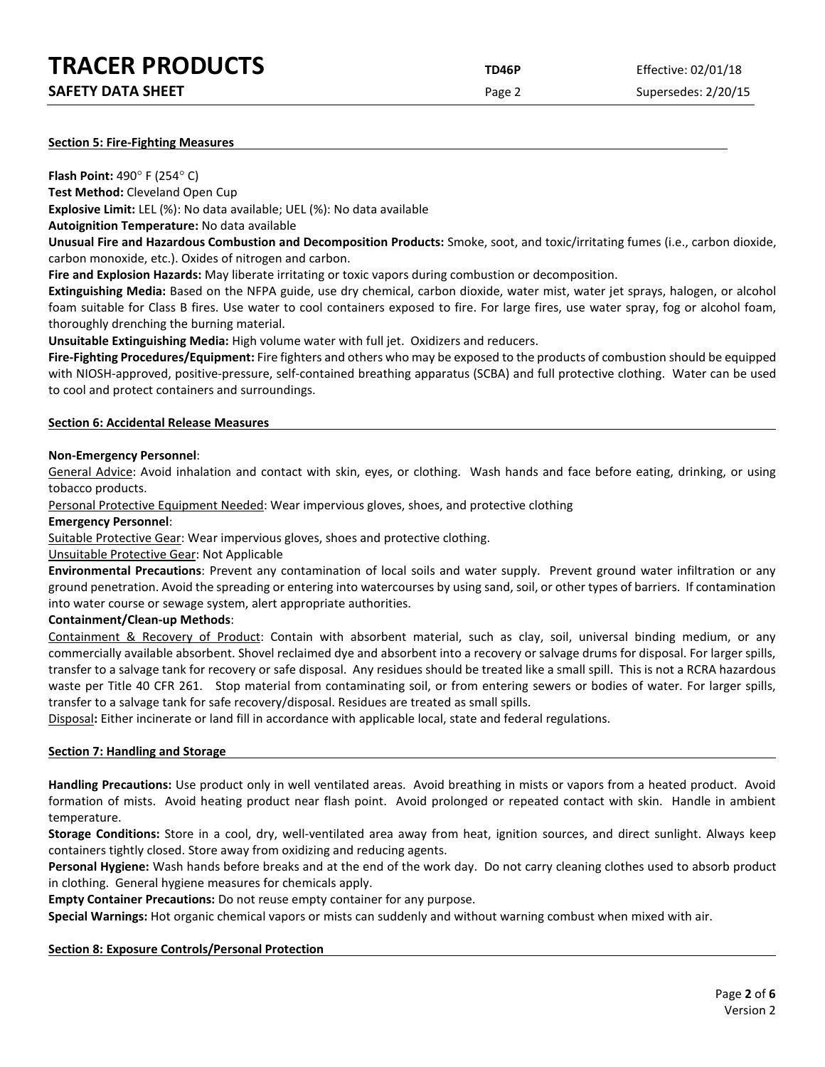| <b>TRACER PRODUCTS</b>   | TD46P  | Effective: 02/01/18 |
|--------------------------|--------|---------------------|
| <b>SAFETY DATA SHEET</b> | Page 2 | Supersedes: 2/20/15 |

#### **Section 5: Fire-Fighting Measures**

**Flash Point:** 490° F (254° C) **Test Method:** Cleveland Open Cup

**Explosive Limit:** LEL (%): No data available; UEL (%): No data available

**Autoignition Temperature:** No data available

**Unusual Fire and Hazardous Combustion and Decomposition Products:** Smoke, soot, and toxic/irritating fumes (i.e., carbon dioxide, carbon monoxide, etc.). Oxides of nitrogen and carbon.

**Fire and Explosion Hazards:** May liberate irritating or toxic vapors during combustion or decomposition.

**Extinguishing Media:** Based on the NFPA guide, use dry chemical, carbon dioxide, water mist, water jet sprays, halogen, or alcohol foam suitable for Class B fires. Use water to cool containers exposed to fire. For large fires, use water spray, fog or alcohol foam, thoroughly drenching the burning material.

**Unsuitable Extinguishing Media:** High volume water with full jet. Oxidizers and reducers.

**Fire-Fighting Procedures/Equipment:** Fire fighters and others who may be exposed to the products of combustion should be equipped with NIOSH-approved, positive-pressure, self-contained breathing apparatus (SCBA) and full protective clothing. Water can be used to cool and protect containers and surroundings.

#### **Section 6: Accidental Release Measures**

#### **Non-Emergency Personnel**:

General Advice: Avoid inhalation and contact with skin, eyes, or clothing. Wash hands and face before eating, drinking, or using tobacco products.

Personal Protective Equipment Needed: Wear impervious gloves, shoes, and protective clothing

#### **Emergency Personnel**:

Suitable Protective Gear: Wear impervious gloves, shoes and protective clothing.

Unsuitable Protective Gear: Not Applicable

**Environmental Precautions**: Prevent any contamination of local soils and water supply. Prevent ground water infiltration or any ground penetration. Avoid the spreading or entering into watercourses by using sand, soil, or other types of barriers. If contamination into water course or sewage system, alert appropriate authorities.

# **Containment/Clean-up Methods**:

Containment & Recovery of Product: Contain with absorbent material, such as clay, soil, universal binding medium, or any commercially available absorbent. Shovel reclaimed dye and absorbent into a recovery or salvage drums for disposal. For larger spills, transfer to a salvage tank for recovery or safe disposal. Any residues should be treated like a small spill. This is not a RCRA hazardous waste per Title 40 CFR 261. Stop material from contaminating soil, or from entering sewers or bodies of water. For larger spills, transfer to a salvage tank for safe recovery/disposal. Residues are treated as small spills.

Disposal**:** Either incinerate or land fill in accordance with applicable local, state and federal regulations.

#### **Section 7: Handling and Storage**

**Handling Precautions:** Use product only in well ventilated areas. Avoid breathing in mists or vapors from a heated product. Avoid formation of mists. Avoid heating product near flash point. Avoid prolonged or repeated contact with skin. Handle in ambient temperature.

**Storage Conditions:** Store in a cool, dry, well-ventilated area away from heat, ignition sources, and direct sunlight. Always keep containers tightly closed. Store away from oxidizing and reducing agents.

**Personal Hygiene:** Wash hands before breaks and at the end of the work day. Do not carry cleaning clothes used to absorb product in clothing. General hygiene measures for chemicals apply.

**Empty Container Precautions:** Do not reuse empty container for any purpose.

**Special Warnings:** Hot organic chemical vapors or mists can suddenly and without warning combust when mixed with air.

# **Section 8: Exposure Controls/Personal Protection**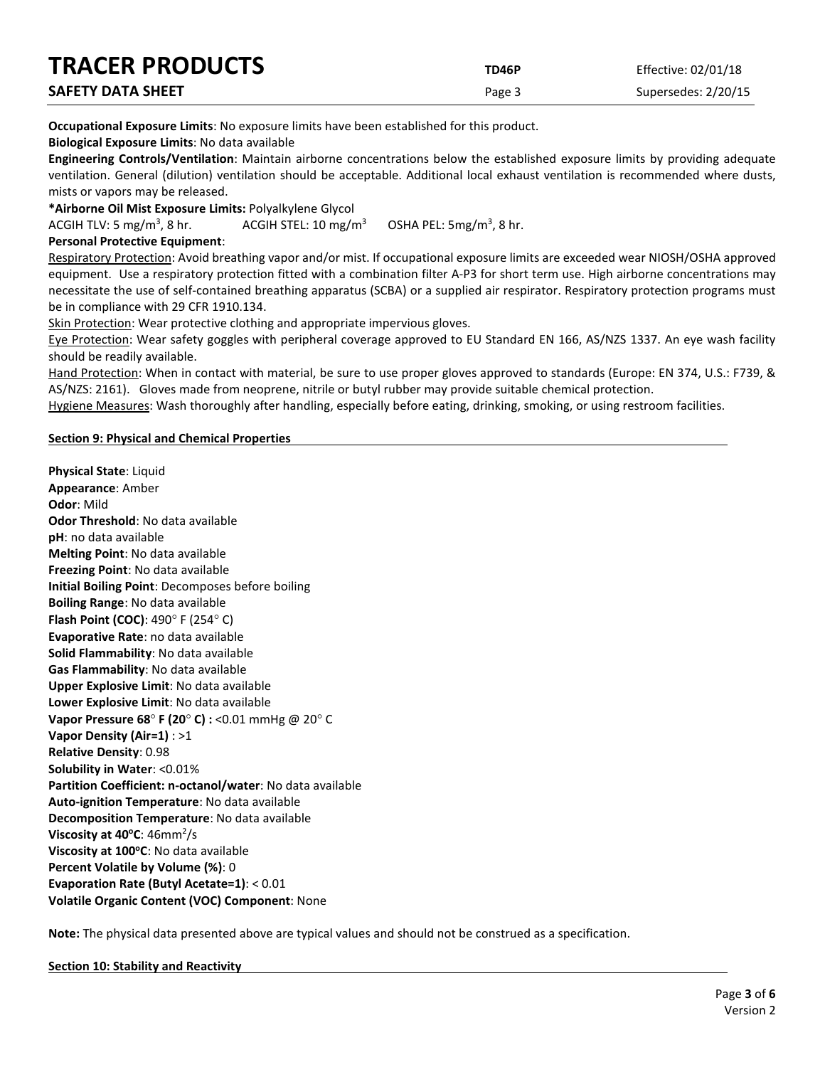| <b>TRACER PRODUCTS</b>   | TD46P  | Effective: 02/01/18 |
|--------------------------|--------|---------------------|
| <b>SAFETY DATA SHEET</b> | Page 3 | Supersedes: 2/20/15 |

**Occupational Exposure Limits**: No exposure limits have been established for this product.

**Biological Exposure Limits**: No data available

**Engineering Controls/Ventilation**: Maintain airborne concentrations below the established exposure limits by providing adequate ventilation. General (dilution) ventilation should be acceptable. Additional local exhaust ventilation is recommended where dusts, mists or vapors may be released.

**\*Airborne Oil Mist Exposure Limits:** Polyalkylene Glycol

ACGIH TLV: 5 mg/m<sup>3</sup>, 8 hr. ACGIH STEL:  $10 \, \text{mg/m}^3$ OSHA PEL:  $5mg/m<sup>3</sup>$ , 8 hr.

# **Personal Protective Equipment**:

Respiratory Protection: Avoid breathing vapor and/or mist. If occupational exposure limits are exceeded wear NIOSH/OSHA approved equipment. Use a respiratory protection fitted with a combination filter A-P3 for short term use. High airborne concentrations may necessitate the use of self-contained breathing apparatus (SCBA) or a supplied air respirator. Respiratory protection programs must be in compliance with 29 CFR 1910.134.

Skin Protection: Wear protective clothing and appropriate impervious gloves.

Eye Protection: Wear safety goggles with peripheral coverage approved to EU Standard EN 166, AS/NZS 1337. An eye wash facility should be readily available.

Hand Protection: When in contact with material, be sure to use proper gloves approved to standards (Europe: EN 374, U.S.: F739, & AS/NZS: 2161). Gloves made from neoprene, nitrile or butyl rubber may provide suitable chemical protection.

Hygiene Measures: Wash thoroughly after handling, especially before eating, drinking, smoking, or using restroom facilities.

# **Section 9: Physical and Chemical Properties**

**Physical State**: Liquid **Appearance**: Amber **Odor**: Mild **Odor Threshold**: No data available **pH**: no data available **Melting Point**: No data available **Freezing Point**: No data available **Initial Boiling Point**: Decomposes before boiling **Boiling Range**: No data available **Flash Point (COC)**: 490° F (254° C) **Evaporative Rate**: no data available **Solid Flammability**: No data available **Gas Flammability**: No data available **Upper Explosive Limit**: No data available **Lower Explosive Limit**: No data available **Vapor Pressure 68**° **F (20**° **C) :** <0.01 mmHg @ 20° C **Vapor Density (Air=1)** : >1 **Relative Density**: 0.98 **Solubility in Water**: <0.01% **Partition Coefficient: n-octanol/water**: No data available **Auto-ignition Temperature**: No data available **Decomposition Temperature**: No data available **Viscosity at 40°C**: 46mm<sup>2</sup>/s **Viscosity at 100°C**: No data available **Percent Volatile by Volume (%)**: 0 **Evaporation Rate (Butyl Acetate=1)**: < 0.01 **Volatile Organic Content (VOC) Component**: None

**Note:** The physical data presented above are typical values and should not be construed as a specification.

# **Section 10: Stability and Reactivity**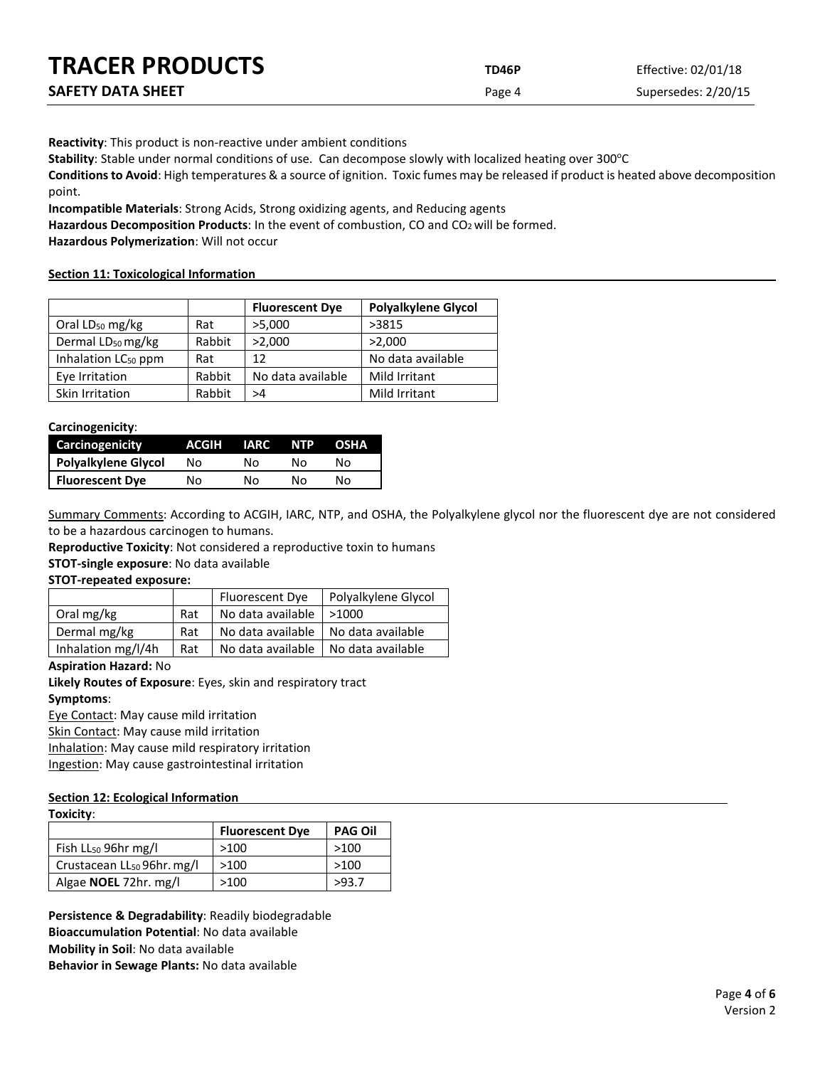| <b>TRACER PRODUCTS</b>   | TD46P  | Effective: 02/01/18 |
|--------------------------|--------|---------------------|
| <b>SAFETY DATA SHEET</b> | Page 4 | Supersedes: 2/20/15 |

**Reactivity**: This product is non-reactive under ambient conditions

Stability: Stable under normal conditions of use. Can decompose slowly with localized heating over 300°C

**Conditions to Avoid**: High temperatures & a source of ignition. Toxic fumes may be released if product is heated above decomposition point.

**Incompatible Materials**: Strong Acids, Strong oxidizing agents, and Reducing agents

Hazardous Decomposition Products: In the event of combustion, CO and CO<sub>2</sub> will be formed.

**Hazardous Polymerization**: Will not occur

# **Section 11: Toxicological Information**

|                                 |        | <b>Fluorescent Dye</b> | <b>Polyalkylene Glycol</b> |
|---------------------------------|--------|------------------------|----------------------------|
| Oral $LD_{50}$ mg/kg            | Rat    | >5,000                 | >3815                      |
| Dermal LD <sub>50</sub> mg/kg   | Rabbit | >2,000                 | >2,000                     |
| Inhalation LC <sub>50</sub> ppm | Rat    | 12                     | No data available          |
| Eye Irritation                  | Rabbit | No data available      | Mild Irritant              |
| Skin Irritation                 | Rabbit | >4                     | Mild Irritant              |

**Carcinogenicity**:

| Carcinogenicity        | ACGIH | <b>IARC</b> | <b>NTP</b> | <b>OSHA</b> |
|------------------------|-------|-------------|------------|-------------|
| Polyalkylene Glycol    | No    | N٥          | N٥         | N٥          |
| <b>Fluorescent Dye</b> | No    | N٥          | N٥         | N٥          |

Summary Comments: According to ACGIH, IARC, NTP, and OSHA, the Polyalkylene glycol nor the fluorescent dye are not considered to be a hazardous carcinogen to humans.

**Reproductive Toxicity**: Not considered a reproductive toxin to humans

**STOT-single exposure**: No data available

#### **STOT-repeated exposure:**

|                    |     | Fluorescent Dye                       | Polyalkylene Glycol |
|--------------------|-----|---------------------------------------|---------------------|
| Oral mg/kg         | Rat | No data available $  > 1000$          |                     |
| Dermal mg/kg       | Rat | No data available   No data available |                     |
| Inhalation mg/l/4h | Rat | No data available                     | No data available   |

#### **Aspiration Hazard:** No

**Likely Routes of Exposure**: Eyes, skin and respiratory tract **Symptoms**:

Eye Contact: May cause mild irritation

Skin Contact: May cause mild irritation

Inhalation: May cause mild respiratory irritation

Ingestion: May cause gastrointestinal irritation

#### **Section 12: Ecological Information Toxicity**:

| LOXICITY.                              |                        |                |
|----------------------------------------|------------------------|----------------|
|                                        | <b>Fluorescent Dye</b> | <b>PAG Oil</b> |
| Fish $LL_{50}$ 96hr mg/l               | >100                   | >100           |
| Crustacean LL <sub>50</sub> 96hr. mg/l | >100                   | >100           |
| Algae <b>NOEL</b> 72hr. mg/l           | >100                   | >93.7          |

**Persistence & Degradability**: Readily biodegradable **Bioaccumulation Potential**: No data available **Mobility in Soil**: No data available **Behavior in Sewage Plants:** No data available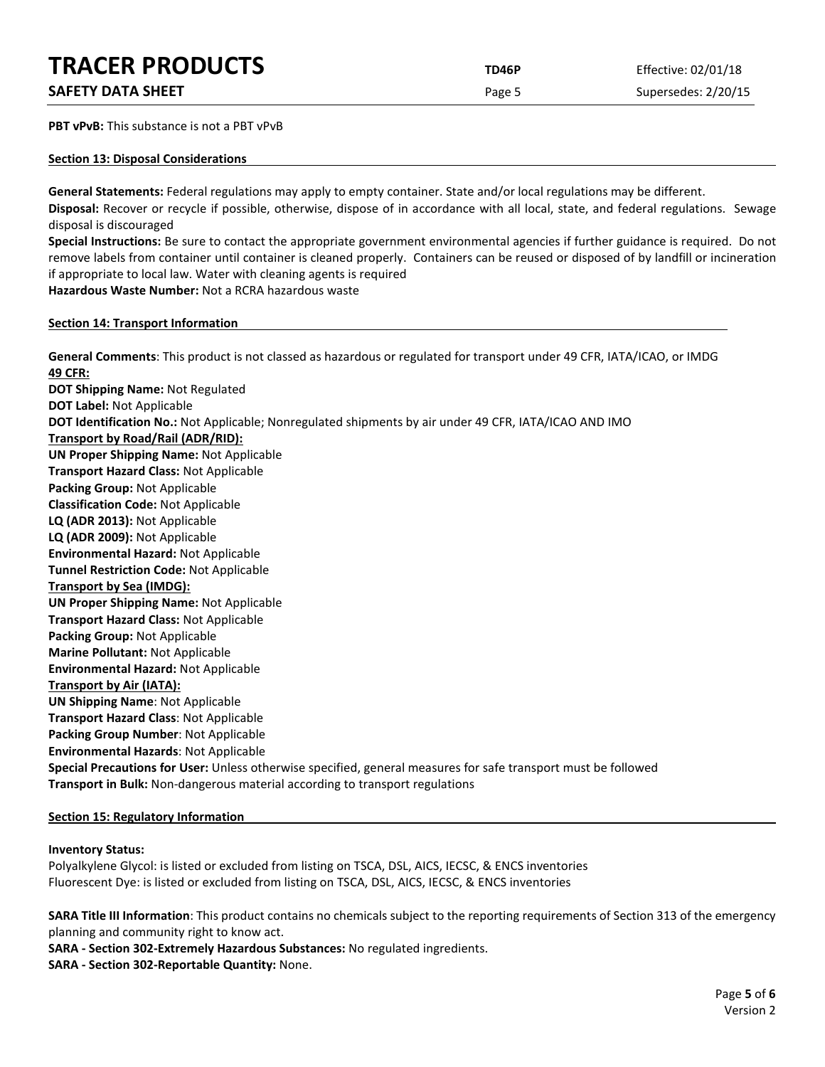# **TRACER PRODUCTS TD46P** Effective: 02/01/18

|  | <b>SAFETY DATA SHEET</b> |  |
|--|--------------------------|--|
|  |                          |  |

**PBT vPvB:** This substance is not a PBT vPvB

#### **Section 13: Disposal Considerations**

**General Statements:** Federal regulations may apply to empty container. State and/or local regulations may be different.

**Disposal:** Recover or recycle if possible, otherwise, dispose of in accordance with all local, state, and federal regulations. Sewage disposal is discouraged

**Special Instructions:** Be sure to contact the appropriate government environmental agencies if further guidance is required. Do not remove labels from container until container is cleaned properly. Containers can be reused or disposed of by landfill or incineration if appropriate to local law. Water with cleaning agents is required

**Hazardous Waste Number:** Not a RCRA hazardous waste

# **Section 14: Transport Information**

**General Comments**: This product is not classed as hazardous or regulated for transport under 49 CFR, IATA/ICAO, or IMDG **49 CFR: DOT Shipping Name:** Not Regulated **DOT Label:** Not Applicable

**DOT Identification No.:** Not Applicable; Nonregulated shipments by air under 49 CFR, IATA/ICAO AND IMO

**Transport by Road/Rail (ADR/RID):**

**UN Proper Shipping Name:** Not Applicable

**Transport Hazard Class:** Not Applicable

**Packing Group:** Not Applicable

**Classification Code:** Not Applicable

**LQ (ADR 2013):** Not Applicable **LQ (ADR 2009):** Not Applicable

**Environmental Hazard:** Not Applicable

**Tunnel Restriction Code:** Not Applicable

**Transport by Sea (IMDG):** 

**UN Proper Shipping Name:** Not Applicable

**Transport Hazard Class:** Not Applicable

**Packing Group:** Not Applicable

**Marine Pollutant:** Not Applicable

**Environmental Hazard:** Not Applicable

# **Transport by Air (IATA):**

**UN Shipping Name**: Not Applicable

**Transport Hazard Class**: Not Applicable

**Packing Group Number**: Not Applicable

**Environmental Hazards**: Not Applicable

**Special Precautions for User:** Unless otherwise specified, general measures for safe transport must be followed **Transport in Bulk:** Non-dangerous material according to transport regulations

# **Section 15: Regulatory Information**

# **Inventory Status:**

Polyalkylene Glycol: is listed or excluded from listing on TSCA, DSL, AICS, IECSC, & ENCS inventories Fluorescent Dye: is listed or excluded from listing on TSCA, DSL, AICS, IECSC, & ENCS inventories

**SARA Title III Information**: This product contains no chemicals subject to the reporting requirements of Section 313 of the emergency planning and community right to know act.

**SARA - Section 302-Extremely Hazardous Substances:** No regulated ingredients.

**SARA - Section 302-Reportable Quantity:** None.

Page 5 Supersedes: 2/20/15